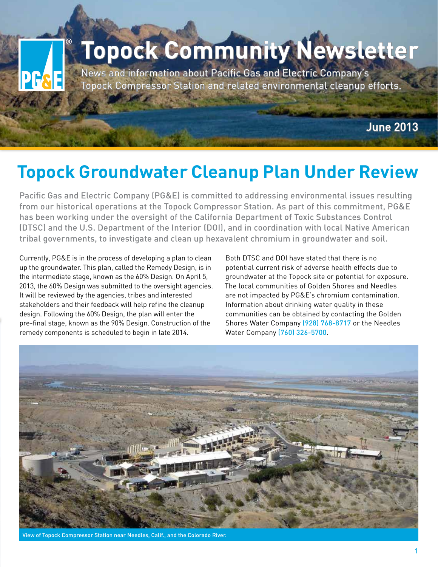## **Topock Community Newsletter**

News and information about Pacific Gas and Electric Company's Topock Compressor Station and related environmental cleanup efforts.

June 2013

### **Topock Groundwater Cleanup Plan Under Review**

Pacific Gas and Electric Company (PG&E) is committed to addressing environmental issues resulting from our historical operations at the Topock Compressor Station. As part of this commitment, PG&E has been working under the oversight of the California Department of Toxic Substances Control (DTSC) and the U.S. Department of the Interior (DOI), and in coordination with local Native American tribal governments, to investigate and clean up hexavalent chromium in groundwater and soil.

Currently, PG&E is in the process of developing a plan to clean up the groundwater. This plan, called the Remedy Design, is in the intermediate stage, known as the 60% Design. On April 5, 2013, the 60% Design was submitted to the oversight agencies. It will be reviewed by the agencies, tribes and interested stakeholders and their feedback will help refine the cleanup design. Following the 60% Design, the plan will enter the pre-final stage, known as the 90% Design. Construction of the remedy components is scheduled to begin in late 2014.

Both DTSC and DOI have stated that there is no potential current risk of adverse health effects due to groundwater at the Topock site or potential for exposure. The local communities of Golden Shores and Needles are not impacted by PG&E's chromium contamination. Information about drinking water quality in these communities can be obtained by contacting the Golden Shores Water Company (928) 768-8717 or the Needles Water Company (760) 326-5700.



vof Topock Compressor Station near Needles, Calif., and the Colorado River.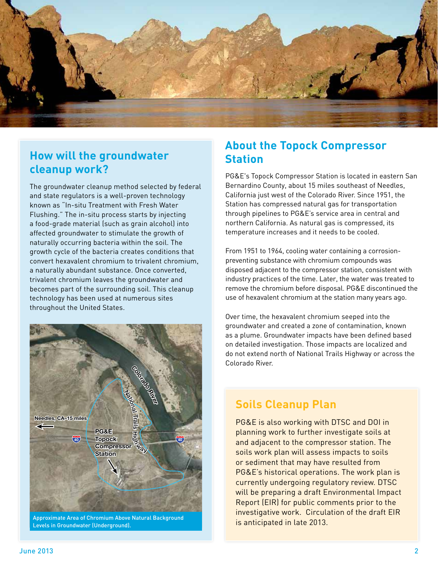

#### **How will the groundwater cleanup work?**

The groundwater cleanup method selected by federal and state regulators is a well-proven technology known as "In-situ Treatment with Fresh Water Flushing." The in-situ process starts by injecting a food-grade material (such as grain alcohol) into affected groundwater to stimulate the growth of naturally occurring bacteria within the soil. The growth cycle of the bacteria creates conditions that convert hexavalent chromium to trivalent chromium, a naturally abundant substance. Once converted, trivalent chromium leaves the groundwater and becomes part of the surrounding soil. This cleanup technology has been used at numerous sites throughout the United States.



Levels in Groundwater (Underground).

#### **About the Topock Compressor Station**

PG&E's Topock Compressor Station is located in eastern San Bernardino County, about 15 miles southeast of Needles, California just west of the Colorado River. Since 1951, the Station has compressed natural gas for transportation through pipelines to PG&E's service area in central and northern California. As natural gas is compressed, its temperature increases and it needs to be cooled.

From 1951 to 1964, cooling water containing a corrosionpreventing substance with chromium compounds was disposed adjacent to the compressor station, consistent with industry practices of the time. Later, the water was treated to remove the chromium before disposal. PG&E discontinued the use of hexavalent chromium at the station many years ago.

Over time, the hexavalent chromium seeped into the groundwater and created a zone of contamination, known as a plume. Groundwater impacts have been defined based on detailed investigation. Those impacts are localized and do not extend north of National Trails Highway or across the Colorado River.

#### **Soils Cleanup Plan**

PG&E is also working with DTSC and DOI in planning work to further investigate soils at and adjacent to the compressor station. The soils work plan will assess impacts to soils or sediment that may have resulted from PG&E's historical operations. The work plan is currently undergoing regulatory review. DTSC will be preparing a draft Environmental Impact Report (EIR) for public comments prior to the investigative work. Circulation of the draft EIR is anticipated in late 2013.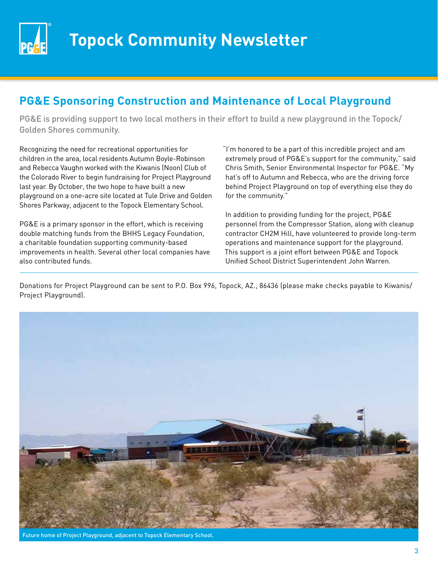

#### **PG&E Sponsoring Construction and Maintenance of Local Playground**

PG&E is providing support to two local mothers in their effort to build a new playground in the Topock/ Golden Shores community.

Recognizing the need for recreational opportunities for children in the area, local residents Autumn Boyle-Robinson and Rebecca Vaughn worked with the Kiwanis (Noon) Club of the Colorado River to begin fundraising for Project Playground last year. By October, the two hope to have built a new playground on a one-acre site located at Tule Drive and Golden Shores Parkway, adjacent to the Topock Elementary School.

PG&E is a primary sponsor in the effort, which is receiving double matching funds from the BHHS Legacy Foundation, a charitable foundation supporting community-based improvements in health. Several other local companies have also contributed funds.

"I'm honored to be a part of this incredible project and am extremely proud of PG&E's support for the community," said Chris Smith, Senior Environmental Inspector for PG&E. "My hat's off to Autumn and Rebecca, who are the driving force behind Project Playground on top of everything else they do for the community."

In addition to providing funding for the project, PG&E personnel from the Compressor Station, along with cleanup contractor CH2M Hill, have volunteered to provide long-term operations and maintenance support for the playground. This support is a joint effort between PG&E and Topock Unified School District Superintendent John Warren.

Donations for Project Playground can be sent to P.O. Box 996, Topock, AZ., 86436 (please make checks payable to Kiwanis/ Project Playground).



Future home of Project Playground, adjacent to Topock Elementary School.